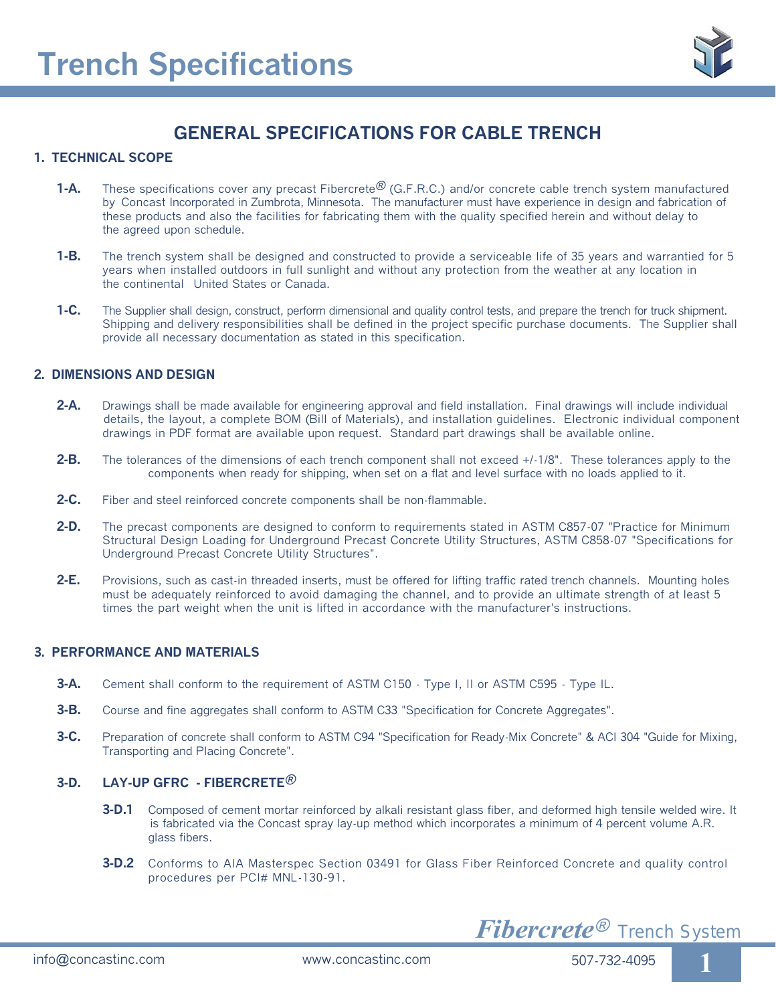

# **GENERAL SPECIFICATIONS FOR CABLE TRENCH**

#### **1. TECHNICAL SCOPE**

- **1-A.** These specifications cover any precast Fibercrete<sup>®</sup> (G.F.R.C.) and/or concrete cable trench system manufactured by Concast Incorporated in Zumbrota, Minnesota. The manufacturer must have experience in design and fabrication of these products and also the facilities for fabricating them with the quality specified herein and without delay to the agreed upon schedule.
- **1-B.** The trench system shall be designed and constructed to provide a serviceable life of 35 years and warrantied for 5 years when installed outdoors in full sunlight and without any protection from the weather at any location in the continental United States or Canada.
- **1-C.** The Supplier shall design, construct, perform dimensional and quality control tests, and prepare the trench for truck shipment. Shipping and delivery responsibilities shall be defined in the project specific purchase documents. The Supplier shall provide all necessary documentation as stated in this specification.

#### **2. DIMENSIONS AND DESIGN**

- **2-A.** Drawings shall be made available for engineering approval and field installation. Final drawings will include individual details, the layout, a complete BOM (Bill of Materials), and installation guidelines. Electronic individual component drawings in PDF format are available upon request. Standard part drawings shall be available online.
- **2-B.** The tolerances of the dimensions of each trench component shall not exceed +/-1/8". These tolerances apply to the components when ready for shipping, when set on a flat and level surface with no loads applied to it.
- **2-C.** Fiber and steel reinforced concrete components shall be non-flammable.
- **2-D.** The precast components are designed to conform to requirements stated in ASTM C857-07 "Practice for Minimum Structural Design Loading for Underground Precast Concrete Utility Structures, ASTM C858-07 "Specifications for Underground Precast Concrete Utility Structures".
- **2-E.** Provisions, such as cast-in threaded inserts, must be offered for lifting traffic rated trench channels. Mounting holes must be adequately reinforced to avoid damaging the channel, and to provide an ultimate strength of at least 5 times the part weight when the unit is lifted in accordance with the manufacturer's instructions.

#### **3. PERFORMANCE AND MATERIALS**

- **3-A.** Cement shall conform to the requirement of ASTM C150 Type I, II or ASTM C595 Type IL.
- **3-B.** Course and fine aggregates shall conform to ASTM C33 "Specification for Concrete Aggregates".
- **3-C.** Preparation of concrete shall conform to ASTM C94 "Specification for Ready-Mix Concrete" & ACI 304 "Guide for Mixing, Transporting and Placing Concrete".

# **3-D. LAY-UP GFRC - FIBERCRETE**®

- **3-D.1** Composed of cement mortar reinforced by alkali resistant glass fiber, and deformed high tensile welded wire. It is fabricated via the Concast spray lay-up method which incorporates a minimum of 4 percent volume A.R. glass fibers.
- **3-D.2** Conforms to AIA Masterspec Section 03491 for Glass Fiber Reinforced Concrete and quality control procedures per PCI# MNL-130-91.

*Fibercrete*® *Trench System*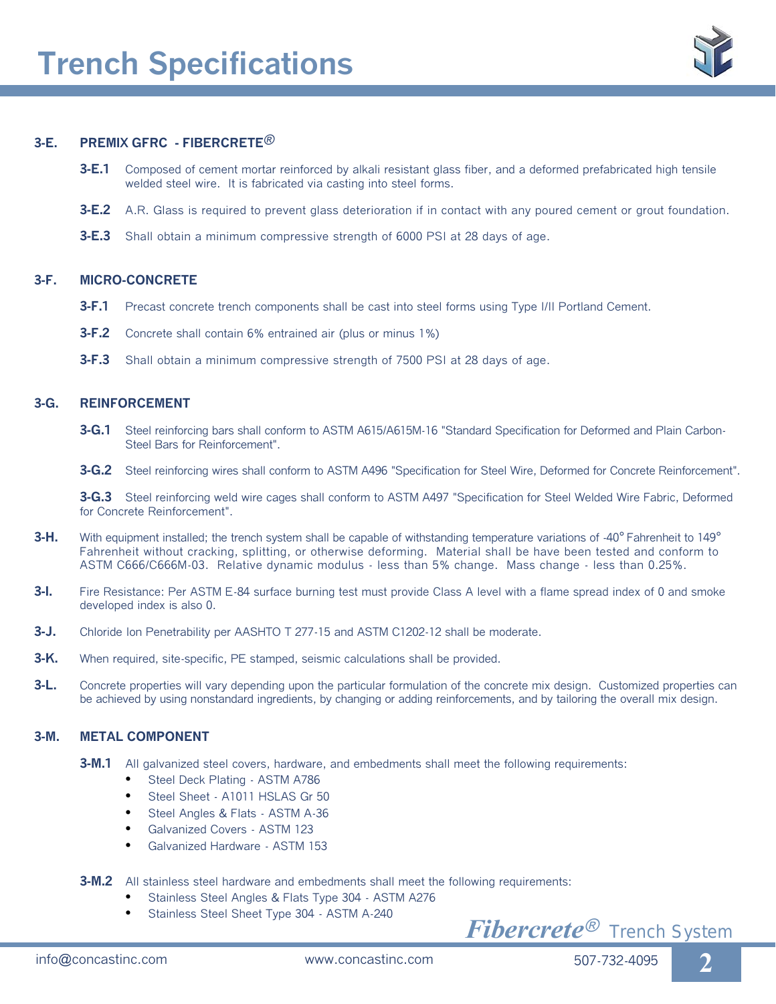

# **3-E. PREMIX GFRC - FIBERCRETE**®

- **3-E.1** Composed of cement mortar reinforced by alkali resistant glass fiber, and a deformed prefabricated high tensile welded steel wire. It is fabricated via casting into steel forms.
- **3-E.2** A.R. Glass is required to prevent glass deterioration if in contact with any poured cement or grout foundation.
- **3-E.3** Shall obtain a minimum compressive strength of 6000 PSI at 28 days of age.

#### **3-F. MICRO-CONCRETE**

- **3-F.1** Precast concrete trench components shall be cast into steel forms using Type I/II Portland Cement.
- **3-F.2** Concrete shall contain 6% entrained air (plus or minus 1%)
- **3-F.3** Shall obtain a minimum compressive strength of 7500 PSI at 28 days of age.

#### **3-G. REINFORCEMENT**

- **3-G.1** Steel reinforcing bars shall conform to ASTM A615/A615M-16 "Standard Specification for Deformed and Plain Carbon- Steel Bars for Reinforcement".
- **3-G.2** Steel reinforcing wires shall conform to ASTM A496 "Specification for Steel Wire, Deformed for Concrete Reinforcement".

**3-G.3** Steel reinforcing weld wire cages shall conform to ASTM A497 "Specification for Steel Welded Wire Fabric, Deformed for Concrete Reinforcement".

- **3-H.** With equipment installed; the trench system shall be capable of withstanding temperature variations of -40**°** Fahrenheit to 149**°** Fahrenheit without cracking, splitting, or otherwise deforming. Material shall be have been tested and conform to ASTM C666/C666M-03. Relative dynamic modulus - less than 5% change. Mass change - less than 0.25%.
- **3-I.** Fire Resistance: Per ASTM E-84 surface burning test must provide Class A level with a flame spread index of 0 and smoke developed index is also 0.
- **3-J.** Chloride Ion Penetrability per AASHTO T 277-15 and ASTM C1202-12 shall be moderate.
- **3-K.** When required, site-specific, PE stamped, seismic calculations shall be provided.
- **3-L.** Concrete properties will vary depending upon the particular formulation of the concrete mix design. Customized properties can be achieved by using nonstandard ingredients, by changing or adding reinforcements, and by tailoring the overall mix design.

#### **3-M. METAL COMPONENT**

- **3-M.1** All galvanized steel covers, hardware, and embedments shall meet the following requirements:
	- Steel Deck Plating ASTM A786
	- Steel Sheet A1011 HSLAS Gr 50
	- Steel Angles & Flats ASTM A-36
	- Galvanized Covers ASTM 123
	- Galvanized Hardware ASTM 153
- **3-M.2** All stainless steel hardware and embedments shall meet the following requirements:
	- Stainless Steel Angles & Flats Type 304 ASTM A276
	- Stainless Steel Sheet Type 304 ASTM A-240

# $Fibercrete<sup>®</sup>$  Trench System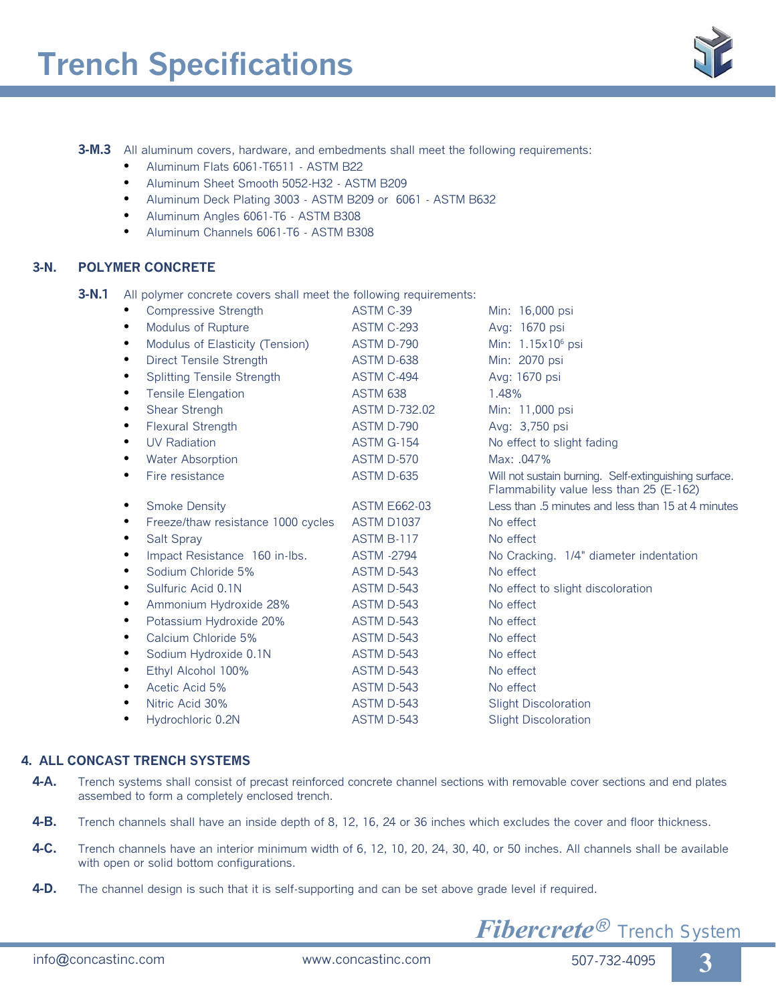**3-M.3** All aluminum covers, hardware, and embedments shall meet the following requirements:

- Aluminum Flats 6061-T6511 ASTM B22
- Aluminum Sheet Smooth 5052-H32 ASTM B209
- Aluminum Deck Plating 3003 ASTM B209 or 6061 ASTM B632
- Aluminum Angles 6061-T6 ASTM B308
- Aluminum Channels 6061-T6 ASTM B308

## **3-N. POLYMER CONCRETE**

**3-N.1** All polymer concrete covers shall meet the following requirements:

|           | Compressive Strength               | ASTM C-39            | Min: 16,000 psi                                                                                  |
|-----------|------------------------------------|----------------------|--------------------------------------------------------------------------------------------------|
| ٠         | <b>Modulus of Rupture</b>          | <b>ASTM C-293</b>    | Avg: 1670 psi                                                                                    |
| ٠         | Modulus of Elasticity (Tension)    | ASTM D-790           | Min: 1.15x10 <sup>6</sup> psi                                                                    |
| ٠         | <b>Direct Tensile Strength</b>     | ASTM D-638           | Min: 2070 psi                                                                                    |
| $\bullet$ | <b>Splitting Tensile Strength</b>  | ASTM C-494           | Avg: 1670 psi                                                                                    |
| ٠         | <b>Tensile Elengation</b>          | <b>ASTM 638</b>      | 1.48%                                                                                            |
| $\bullet$ | Shear Strengh                      | <b>ASTM D-732.02</b> | Min: 11,000 psi                                                                                  |
|           | <b>Flexural Strength</b>           | ASTM D-790           | Avg: 3,750 psi                                                                                   |
| ٠         | <b>UV Radiation</b>                | <b>ASTM G-154</b>    | No effect to slight fading                                                                       |
|           | <b>Water Absorption</b>            | ASTM D-570           | Max: .047%                                                                                       |
|           | Fire resistance                    | ASTM D-635           | Will not sustain burning. Self-extinguishing surface.<br>Flammability value less than 25 (E-162) |
| ٠         | <b>Smoke Density</b>               | <b>ASTM E662-03</b>  | Less than .5 minutes and less than 15 at 4 minutes                                               |
| ٠         | Freeze/thaw resistance 1000 cycles | ASTM D1037           | No effect                                                                                        |
| ٠         | Salt Spray                         | ASTM B-117           | No effect                                                                                        |
| ٠         | Impact Resistance 160 in-Ibs.      | <b>ASTM -2794</b>    | No Cracking. 1/4" diameter indentation                                                           |
| ٠         | Sodium Chloride 5%                 | ASTM D-543           | No effect                                                                                        |
| ٠         | Sulfuric Acid 0.1N                 | ASTM D-543           | No effect to slight discoloration                                                                |
| $\bullet$ | Ammonium Hydroxide 28%             | ASTM D-543           | No effect                                                                                        |
| ٠         | Potassium Hydroxide 20%            | <b>ASTM D-543</b>    | No effect                                                                                        |
| ٠         | Calcium Chloride 5%                | ASTM D-543           | No effect                                                                                        |
|           | Sodium Hydroxide 0.1N              | ASTM D-543           | No effect                                                                                        |
| ٠         | Ethyl Alcohol 100%                 | ASTM D-543           | No effect                                                                                        |
| ٠         | Acetic Acid 5%                     | ASTM D-543           | No effect                                                                                        |
| ٠         | Nitric Acid 30%                    | ASTM D-543           | <b>Slight Discoloration</b>                                                                      |
| ٠         | Hydrochloric 0.2N                  | ASTM D-543           | <b>Slight Discoloration</b>                                                                      |
|           |                                    |                      |                                                                                                  |

## **4. ALL CONCAST TRENCH SYSTEMS**

- **4-A.** Trench systems shall consist of precast reinforced concrete channel sections with removable cover sections and end plates assembed to form a completely enclosed trench.
- **4-B.** Trench channels shall have an inside depth of 8, 12, 16, 24 or 36 inches which excludes the cover and floor thickness.
- **4-C.** Trench channels have an interior minimum width of 6, 12, 10, 20, 24, 30, 40, or 50 inches. All channels shall be available with open or solid bottom configurations.
- **4-D.** The channel design is such that it is self-supporting and can be set above grade level if required.

*Fibercrete*® *Trench System*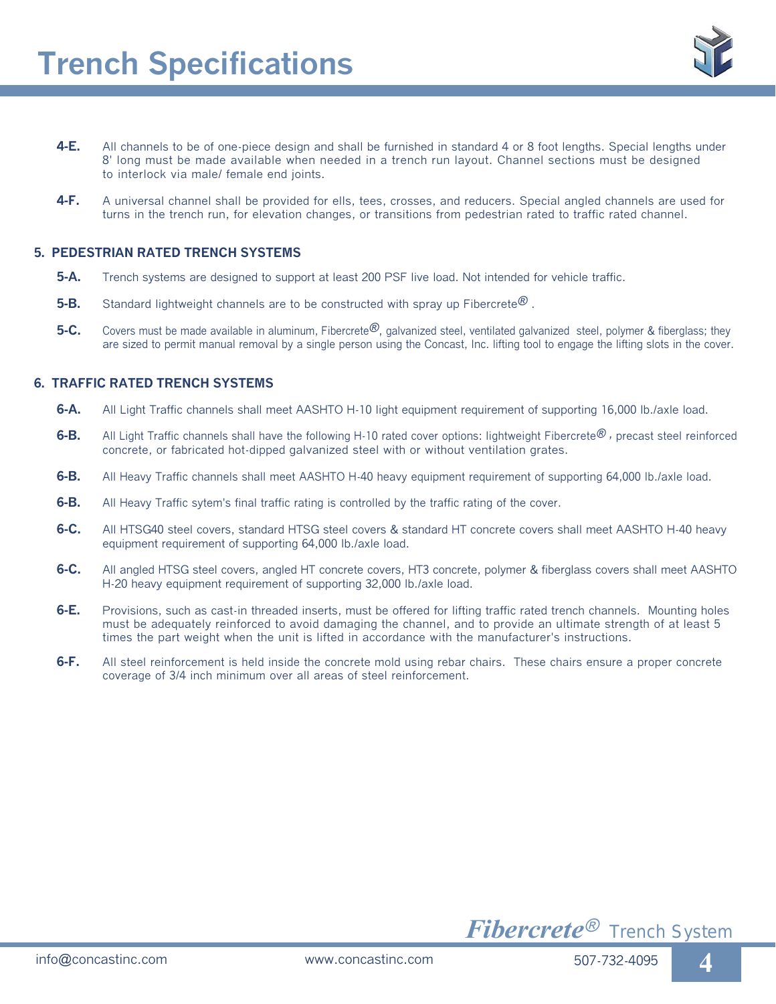

- **4-E.** All channels to be of one-piece design and shall be furnished in standard 4 or 8 foot lengths. Special lengths under 8' long must be made available when needed in a trench run layout. Channel sections must be designed to interlock via male/ female end joints.
- **4-F.** A universal channel shall be provided for ells, tees, crosses, and reducers. Special angled channels are used for turns in the trench run, for elevation changes, or transitions from pedestrian rated to traffic rated channel.

#### **5. PEDESTRIAN RATED TRENCH SYSTEMS**

- **5-A.** Trench systems are designed to support at least 200 PSF live load. Not intended for vehicle traffic.
- **5-B.** Standard lightweight channels are to be constructed with spray up Fibercrete®.
- **5-C.** Covers must be made available in aluminum, Fibercrete®, galvanized steel, ventilated galvanized steel, polymer & fiberglass; they are sized to permit manual removal by a single person using the Concast, Inc. lifting tool to engage the lifting slots in the cover.

#### **6. TRAFFIC RATED TRENCH SYSTEMS**

- **6-A.** All Light Traffic channels shall meet AASHTO H-10 light equipment requirement of supporting 16,000 lb./axle load.
- **6-B.** All Light Traffic channels shall have the following H-10 rated cover options: lightweight Fibercrete® , precast steel reinforced concrete, or fabricated hot-dipped galvanized steel with or without ventilation grates.
- **6-B.** All Heavy Traffic channels shall meet AASHTO H-40 heavy equipment requirement of supporting 64,000 lb./axle load.
- **6-B.** All Heavy Traffic sytem's final traffic rating is controlled by the traffic rating of the cover.
- **6-C.** All HTSG40 steel covers, standard HTSG steel covers & standard HT concrete covers shall meet AASHTO H-40 heavy equipment requirement of supporting 64,000 lb./axle load.
- **6-C.** All angled HTSG steel covers, angled HT concrete covers, HT3 concrete, polymer & fiberglass covers shall meet AASHTO H-20 heavy equipment requirement of supporting 32,000 lb./axle load.
- **6-E.** Provisions, such as cast-in threaded inserts, must be offered for lifting traffic rated trench channels. Mounting holes must be adequately reinforced to avoid damaging the channel, and to provide an ultimate strength of at least 5 times the part weight when the unit is lifted in accordance with the manufacturer's instructions.
- **6-F.** All steel reinforcement is held inside the concrete mold using rebar chairs. These chairs ensure a proper concrete coverage of 3/4 inch minimum over all areas of steel reinforcement.